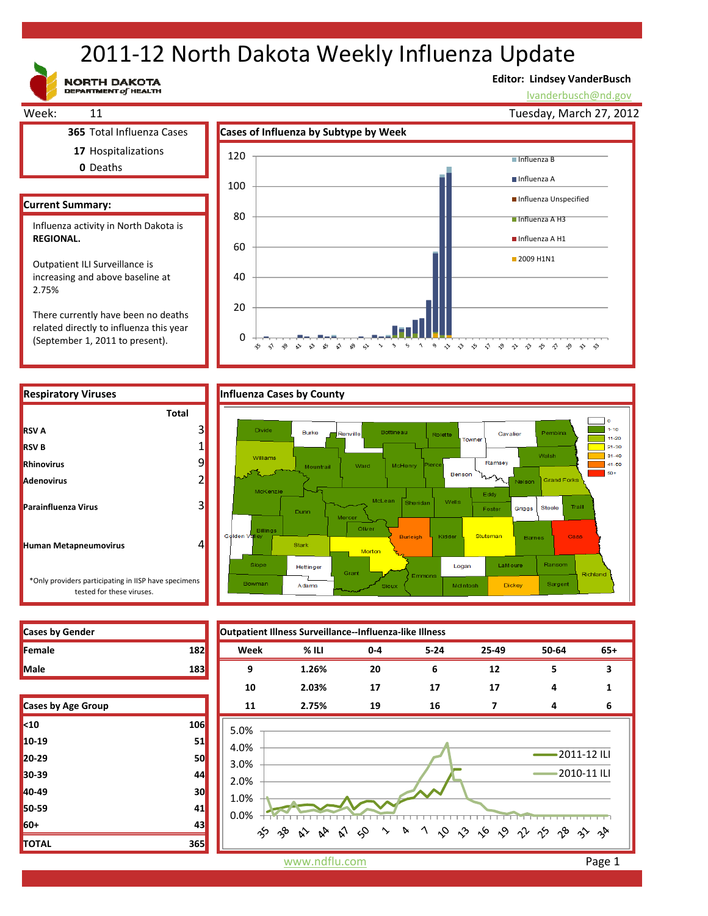# 2011‐12 North Dakota Weekly Influenza Update

**NORTH DAKOTA**<br>DEPARTMENT of HEALTH

(September 1, 2011 to present).

### **Editor: Lindsey VanderBusch**

99999999999999999

lvanderbusch@nd.gov



0

☆  $\hat{\mathbf{v}}$  $\sim$  $\sim$  $\mathbb{S}^2$ భ ☆  $x^9 - 6$ 



 $\sim$ 

| <b>Cases by Gender</b> |     |
|------------------------|-----|
| Female                 | 182 |
| <b>Male</b>            | 183 |

**RSV A**

**RSV B**

| Cases by Age Group |     |
|--------------------|-----|
| $10$               | 106 |
| 10-19              | 51  |
| $20 - 29$          | 50  |
| 30-39              | 44  |
| 40-49              | 30  |
| 50-59              | 41  |
| 60+                | 43  |
| <b>TOTAL</b>       | 365 |



www.ndflu.com **Page 1**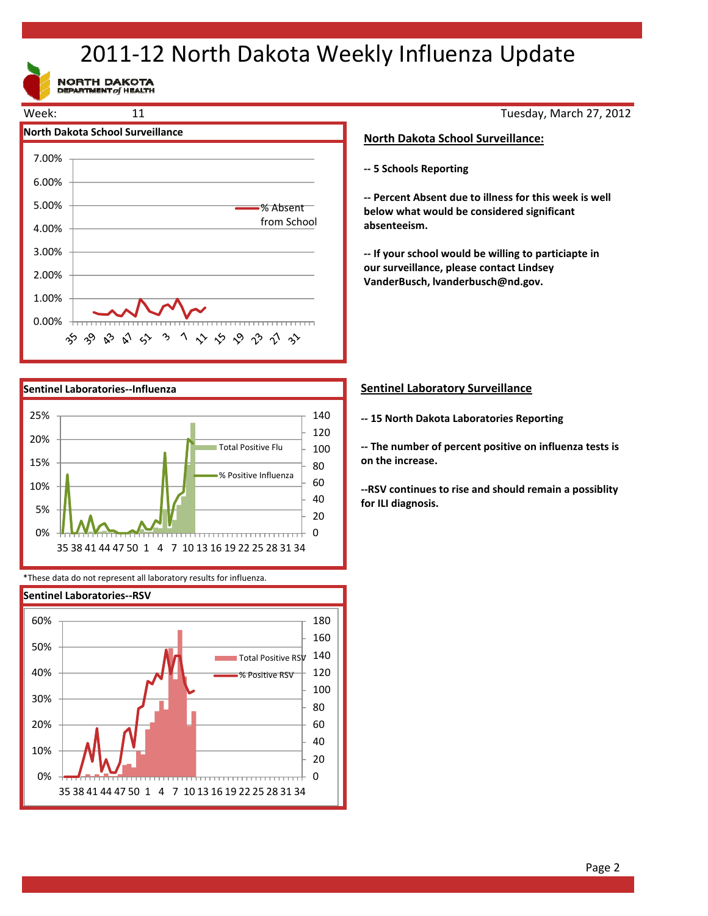# 2011‐12 North Dakota Weekly Influenza Update

NORTH DAKOTA





\*These data do not represent all laboratory results for influenza.



Tuesday, March 27, 2012

### **North Dakota School Surveillance:**

**‐‐ 5 Schools Reporting**

**‐‐ Percent Absent due to illness for this week is well below what would be considered significant absenteeism.**

**‐‐ If your school would be willing to particiapte in our surveillance, please contact Lindsey VanderBusch, lvanderbusch@nd.gov.**

### **Sentinel Laboratory Surveillance**

**‐‐ 15 North Dakota Laboratories Reporting**

**‐‐ The number of percent positive on influenza tests is on the increase.**

**‐‐RSV continues to rise and should remain a possiblity for ILI diagnosis.**